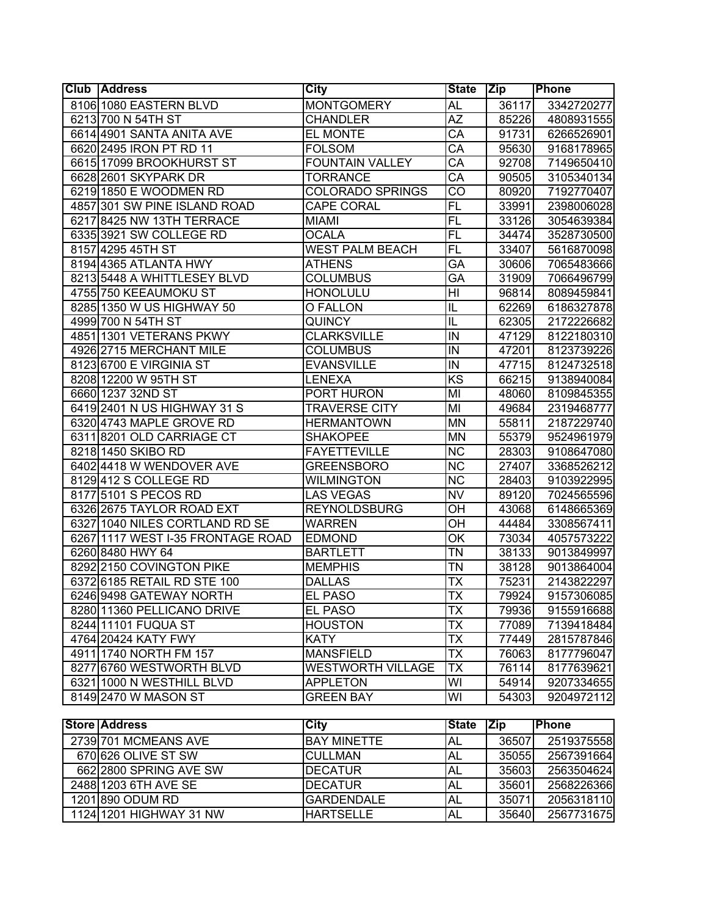| <b>Club Address</b>               | <b>City</b>              | State Zip                |            | Phone        |
|-----------------------------------|--------------------------|--------------------------|------------|--------------|
| 8106 1080 EASTERN BLVD            | <b>MONTGOMERY</b>        | <b>AL</b>                | 36117      | 3342720277   |
| 6213 700 N 54TH ST                | <b>CHANDLER</b>          | AZ                       | 85226      | 4808931555   |
| 6614 4901 SANTA ANITA AVE         | EL MONTE                 | $\overline{\text{CA}}$   | 91731      | 6266526901   |
| 6620 2495 IRON PT RD 11           | <b>FOLSOM</b>            | CA                       | 95630      | 9168178965   |
| 6615 17099 BROOKHURST ST          | <b>FOUNTAIN VALLEY</b>   | СA                       | 92708      | 7149650410   |
| 6628 2601 SKYPARK DR              | <b>TORRANCE</b>          | CA                       | 90505      | 3105340134   |
| 6219 1850 E WOODMEN RD            | <b>COLORADO SPRINGS</b>  | $\overline{\text{CO}}$   | 80920      | 7192770407   |
| 4857 301 SW PINE ISLAND ROAD      | <b>CAPE CORAL</b>        | $\overline{FL}$          | 33991      | 2398006028   |
| 6217 8425 NW 13TH TERRACE         | <b>MIAMI</b>             | $\overline{FL}$          | 33126      | 3054639384   |
| 6335 3921 SW COLLEGE RD           | <b>OCALA</b>             | $\overline{FL}$          | 34474      | 3528730500   |
| 8157 4295 45TH ST                 | <b>WEST PALM BEACH</b>   | $\overline{FL}$          | 33407      | 5616870098   |
| 8194 4365 ATLANTA HWY             | <b>ATHENS</b>            | $\overline{\mathsf{GA}}$ | 30606      | 7065483666   |
| 8213 5448 A WHITTLESEY BLVD       | <b>COLUMBUS</b>          | GA                       | 31909      | 7066496799   |
| 4755 750 KEEAUMOKU ST             | <b>HONOLULU</b>          | HI                       | 96814      | 8089459841   |
| 8285 1350 W US HIGHWAY 50         | O FALLON                 | IL                       | 62269      | 6186327878   |
| 4999 700 N 54TH ST                | <b>QUINCY</b>            | IL                       | 62305      | 2172226682   |
| 4851 1301 VETERANS PKWY           | <b>CLARKSVILLE</b>       | IN                       | 47129      | 8122180310   |
| 4926 2715 MERCHANT MILE           | <b>COLUMBUS</b>          | $\overline{N}$           | 47201      | 8123739226   |
| 8123 6700 E VIRGINIA ST           | <b>EVANSVILLE</b>        | $\overline{N}$           | 47715      | 8124732518   |
| 8208 12200 W 95TH ST              | <b>LENEXA</b>            | $\overline{KS}$          | 66215      | 9138940084   |
| 6660 1237 32ND ST                 | PORT HURON               | MI                       | 48060      | 8109845355   |
| 6419 2401 N US HIGHWAY 31 S       | <b>TRAVERSE CITY</b>     | MI                       | 49684      | 2319468777   |
| 6320 4743 MAPLE GROVE RD          | <b>HERMANTOWN</b>        | <b>MN</b>                | 55811      | 2187229740   |
| 6311 8201 OLD CARRIAGE CT         | <b>SHAKOPEE</b>          | <b>MN</b>                | 55379      | 9524961979   |
| 8218 1450 SKIBO RD                | <b>FAYETTEVILLE</b>      | $\overline{\text{NC}}$   | 28303      | 9108647080   |
| 6402 4418 W WENDOVER AVE          | <b>GREENSBORO</b>        | $\overline{\text{NC}}$   | 27407      | 3368526212   |
| 8129412 S COLLEGE RD              | <b>WILMINGTON</b>        | $\overline{\text{NC}}$   | 28403      | 9103922995   |
| 8177 5101 S PECOS RD              | <b>LAS VEGAS</b>         | $\overline{\text{NV}}$   | 89120      | 7024565596   |
| 6326 2675 TAYLOR ROAD EXT         | <b>REYNOLDSBURG</b>      | OН                       | 43068      | 6148665369   |
| 6327 1040 NILES CORTLAND RD SE    | <b>WARREN</b>            | OН                       | 44484      | 3308567411   |
| 6267 1117 WEST I-35 FRONTAGE ROAD | <b>EDMOND</b>            | OK                       | 73034      | 4057573222   |
| 6260 8480 HWY 64                  | <b>BARTLETT</b>          | TN                       | 38133      | 9013849997   |
| 8292 2150 COVINGTON PIKE          | <b>MEMPHIS</b>           | ΤN                       | 38128      | 9013864004   |
| 6372 6185 RETAIL RD STE 100       | <b>DALLAS</b>            | ТX                       | 75231      | 2143822297   |
| 6246 9498 GATEWAY NORTH           | <b>EL PASO</b>           | $\overline{\mathsf{TX}}$ | 79924      | 9157306085   |
| 8280 11360 PELLICANO DRIVE        | EL PASO                  | <b>TX</b>                | 79936      | 9155916688   |
| 8244 11101 FUQUA ST               | <b>HOUSTON</b>           | $\overline{\mathsf{TX}}$ | 77089      | 7139418484   |
| 4764 20424 KATY FWY               | <b>KATY</b>              | <b>TX</b>                | 77449      | 2815787846   |
| 4911 1740 NORTH FM 157            | <b>MANSFIELD</b>         | $\overline{\mathsf{TX}}$ | 76063      | 8177796047   |
| 8277 6760 WESTWORTH BLVD          | <b>WESTWORTH VILLAGE</b> | TX                       | 76114      | 8177639621   |
| 6321 1000 N WESTHILL BLVD         | <b>APPLETON</b>          | WI                       | 54914      | 9207334655   |
| 8149 2470 W MASON ST              | <b>GREEN BAY</b>         | WI                       | 54303      | 9204972112   |
|                                   |                          |                          |            |              |
| <b>Store Address</b>              | <b>City</b>              | <b>State</b>             | <b>Zip</b> | <b>Phone</b> |
| 2739 701 MCMEANS AVE              | <b>BAY MINETTE</b>       | <b>AL</b>                | 36507      | 2519375558   |
| 670 626 OLIVE ST SW               | <b>CULLMAN</b>           | <b>AL</b>                | 35055      | 2567391664   |
| 662 2800 SPRING AVE SW            | <b>DECATUR</b>           | <b>AL</b>                | 35603      | 2563504624   |
| 2488 1203 6TH AVE SE              | <b>DECATUR</b>           | AL                       | 35601      | 2568226366   |
| 1201 890 ODUM RD                  | <b>GARDENDALE</b>        | AL                       | 35071      | 2056318110   |
| 1124 1201 HIGHWAY 31 NW           | <b>HARTSELLE</b>         | <b>AL</b>                | 35640      | 2567731675   |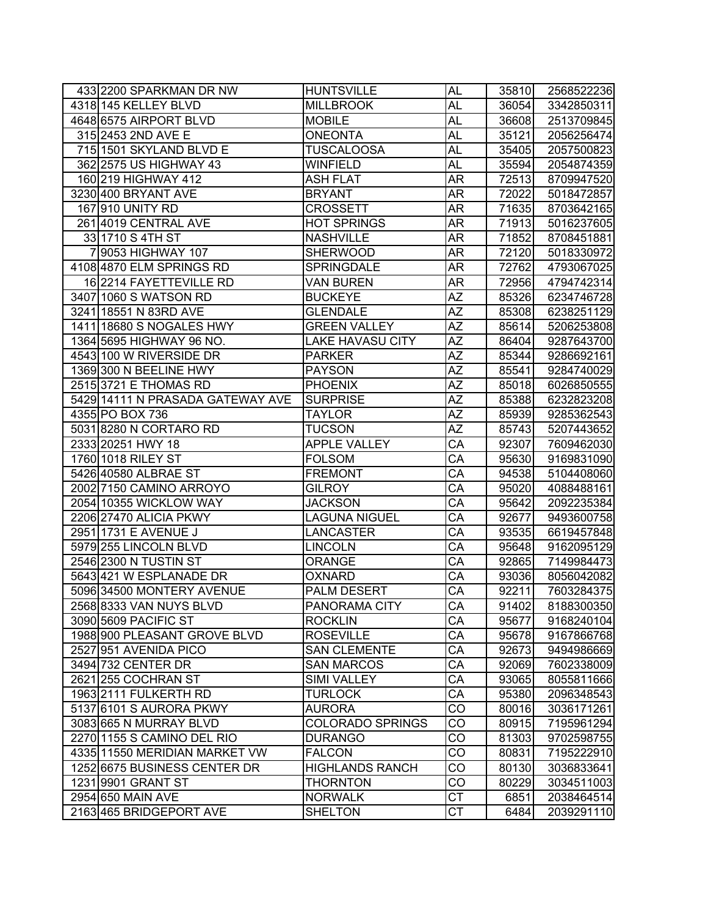| 433 2200 SPARKMAN DR NW          | <b>HUNTSVILLE</b>       | <b>AL</b>                | 35810 | 2568522236 |
|----------------------------------|-------------------------|--------------------------|-------|------------|
| 4318 145 KELLEY BLVD             | <b>MILLBROOK</b>        | <b>AL</b>                | 36054 | 3342850311 |
| 4648 6575 AIRPORT BLVD           | <b>MOBILE</b>           | <b>AL</b>                | 36608 | 2513709845 |
| 315 2453 2ND AVE E               | <b>ONEONTA</b>          | <b>AL</b>                | 35121 | 2056256474 |
| 715 1501 SKYLAND BLVD E          | <b>TUSCALOOSA</b>       | <b>AL</b>                | 35405 | 2057500823 |
| 362 2575 US HIGHWAY 43           | <b>WINFIELD</b>         | AL                       | 35594 | 2054874359 |
| 160 219 HIGHWAY 412              | <b>ASH FLAT</b>         | <b>AR</b>                | 72513 | 8709947520 |
| 3230 400 BRYANT AVE              | <b>BRYANT</b>           | <b>AR</b>                | 72022 | 5018472857 |
| 167 910 UNITY RD                 | <b>CROSSETT</b>         | <b>AR</b>                | 71635 | 8703642165 |
| 261 4019 CENTRAL AVE             | <b>HOT SPRINGS</b>      | <b>AR</b>                | 71913 | 5016237605 |
| 33 1710 S 4TH ST                 | <b>NASHVILLE</b>        | <b>AR</b>                | 71852 | 8708451881 |
| 7 9053 HIGHWAY 107               | <b>SHERWOOD</b>         | AR                       | 72120 | 5018330972 |
| 4108 4870 ELM SPRINGS RD         | <b>SPRINGDALE</b>       | AR                       | 72762 | 4793067025 |
| 16 2214 FAYETTEVILLE RD          | <b>VAN BUREN</b>        | <b>AR</b>                | 72956 | 4794742314 |
| 3407 1060 S WATSON RD            | <b>BUCKEYE</b>          | $\overline{AZ}$          | 85326 | 6234746728 |
| 3241 18551 N 83RD AVE            | <b>GLENDALE</b>         | $\overline{\mathsf{AZ}}$ | 85308 | 6238251129 |
| 1411 18680 S NOGALES HWY         | <b>GREEN VALLEY</b>     | ΑZ                       | 85614 | 5206253808 |
| 1364 5695 HIGHWAY 96 NO.         | <b>LAKE HAVASU CITY</b> | AZ                       | 86404 | 9287643700 |
| 4543 100 W RIVERSIDE DR          | <b>PARKER</b>           | AΖ                       | 85344 | 9286692161 |
| 1369 300 N BEELINE HWY           | <b>PAYSON</b>           | AΖ                       | 85541 | 9284740029 |
| 2515 3721 E THOMAS RD            | <b>PHOENIX</b>          | AΖ                       | 85018 | 6026850555 |
| 5429 14111 N PRASADA GATEWAY AVE | <b>SURPRISE</b>         | AΖ                       | 85388 | 6232823208 |
| 4355 PO BOX 736                  | <b>TAYLOR</b>           | AΖ                       | 85939 | 9285362543 |
| 5031 8280 N CORTARO RD           | <b>TUCSON</b>           | $\overline{AZ}$          | 85743 | 5207443652 |
| 2333 20251 HWY 18                | <b>APPLE VALLEY</b>     | CA                       | 92307 | 7609462030 |
| 1760 1018 RILEY ST               | <b>FOLSOM</b>           | $\overline{\text{CA}}$   | 95630 | 9169831090 |
| 5426 40580 ALBRAE ST             | <b>FREMONT</b>          | $\overline{\mathsf{CA}}$ | 94538 | 5104408060 |
| 2002 7150 CAMINO ARROYO          | <b>GILROY</b>           | $\overline{\mathsf{CA}}$ | 95020 | 4088488161 |
| 2054 10355 WICKLOW WAY           | <b>JACKSON</b>          | CA                       | 95642 | 2092235384 |
| 2206 27470 ALICIA PKWY           | <b>LAGUNA NIGUEL</b>    | CA                       | 92677 | 9493600758 |
| 2951 1731 E AVENUE J             | LANCASTER               | CA                       | 93535 | 6619457848 |
| 5979 255 LINCOLN BLVD            | <b>LINCOLN</b>          | CA                       | 95648 | 9162095129 |
| 2546 2300 N TUSTIN ST            | <b>ORANGE</b>           | CA                       | 92865 | 7149984473 |
| 5643421 W ESPLANADE DR           | <b>OXNARD</b>           | $\overline{\text{CA}}$   | 93036 | 8056042082 |
| 5096 34500 MONTERY AVENUE        | <b>PALM DESERT</b>      | CA                       | 92211 | 7603284375 |
| 2568 8333 VAN NUYS BLVD          | <b>PANORAMA CITY</b>    | CA                       | 91402 | 8188300350 |
| 3090 5609 PACIFIC ST             | <b>ROCKLIN</b>          | CA                       | 95677 | 9168240104 |
| 1988 900 PLEASANT GROVE BLVD     | <b>ROSEVILLE</b>        | CA                       | 95678 | 9167866768 |
| 2527 951 AVENIDA PICO            | <b>SAN CLEMENTE</b>     | CA                       | 92673 | 9494986669 |
| 3494 732 CENTER DR               | <b>SAN MARCOS</b>       | CA                       | 92069 | 7602338009 |
| 2621 255 COCHRAN ST              | <b>SIMI VALLEY</b>      | CA                       | 93065 | 8055811666 |
| 1963 2111 FULKERTH RD            | <b>TURLOCK</b>          | CA                       | 95380 | 2096348543 |
| 5137 6101 S AURORA PKWY          | <b>AURORA</b>           | $\overline{c}$           | 80016 | 3036171261 |
| 3083 665 N MURRAY BLVD           | <b>COLORADO SPRINGS</b> | CO                       | 80915 | 7195961294 |
| 2270 1155 S CAMINO DEL RIO       | <b>DURANGO</b>          | CO                       | 81303 | 9702598755 |
| 4335 11550 MERIDIAN MARKET VW    | <b>FALCON</b>           | CO                       | 80831 | 7195222910 |
| 1252 6675 BUSINESS CENTER DR     | <b>HIGHLANDS RANCH</b>  | CO                       | 80130 | 3036833641 |
| 1231 9901 GRANT ST               | <b>THORNTON</b>         | CO                       | 80229 | 3034511003 |
| 2954 650 MAIN AVE                | <b>NORWALK</b>          | CT                       | 6851  | 2038464514 |
| 2163 465 BRIDGEPORT AVE          | <b>SHELTON</b>          | CT                       | 6484  | 2039291110 |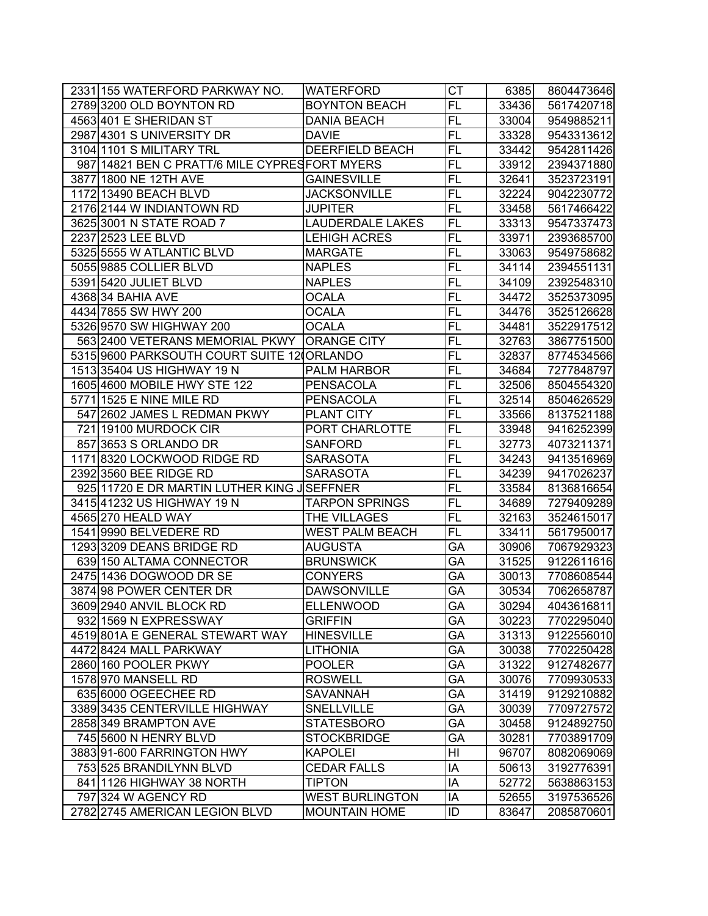| 2331 155 WATERFORD PARKWAY NO.                 | <b>WATERFORD</b>        | <b>CT</b>       | 6385  | 8604473646 |
|------------------------------------------------|-------------------------|-----------------|-------|------------|
| 2789 3200 OLD BOYNTON RD                       | <b>BOYNTON BEACH</b>    | $\overline{FL}$ | 33436 | 5617420718 |
| 4563 401 E SHERIDAN ST                         | <b>DANIA BEACH</b>      | $\overline{FL}$ | 33004 | 9549885211 |
| 2987 4301 S UNIVERSITY DR                      | <b>DAVIE</b>            | $\overline{FL}$ | 33328 | 9543313612 |
| 3104 1101 S MILITARY TRL                       | <b>DEERFIELD BEACH</b>  | <b>FL</b>       | 33442 | 9542811426 |
| 987 14821 BEN C PRATT/6 MILE CYPRES FORT MYERS |                         | <b>FL</b>       | 33912 | 2394371880 |
| 3877 1800 NE 12TH AVE                          | <b>GAINESVILLE</b>      | <b>FL</b>       | 32641 | 3523723191 |
| 1172 13490 BEACH BLVD                          | JACKSONVILLE            | <b>FL</b>       | 32224 | 9042230772 |
| 2176 2144 W INDIANTOWN RD                      | JUPITER                 | <b>FL</b>       | 33458 | 5617466422 |
| 3625 3001 N STATE ROAD 7                       | <b>LAUDERDALE LAKES</b> | <b>FL</b>       | 33313 | 9547337473 |
| 2237 2523 LEE BLVD                             | <b>LEHIGH ACRES</b>     | <b>FL</b>       | 33971 | 2393685700 |
| 5325 5555 W ATLANTIC BLVD                      | <b>MARGATE</b>          | <b>FL</b>       | 33063 | 9549758682 |
| 5055 9885 COLLIER BLVD                         | <b>NAPLES</b>           | FL              | 34114 | 2394551131 |
| 5391 5420 JULIET BLVD                          | <b>NAPLES</b>           | FL              | 34109 | 2392548310 |
| 4368 34 BAHIA AVE                              | <b>OCALA</b>            | <b>FL</b>       | 34472 | 3525373095 |
| 4434 7855 SW HWY 200                           | <b>OCALA</b>            | FL              | 34476 | 3525126628 |
| 5326 9570 SW HIGHWAY 200                       | <b>OCALA</b>            | <b>FL</b>       | 34481 | 3522917512 |
| 563 2400 VETERANS MEMORIAL PKWY ORANGE CITY    |                         | <b>FL</b>       | 32763 | 3867751500 |
| 5315 9600 PARKSOUTH COURT SUITE 12 ORLANDO     |                         | <b>FL</b>       | 32837 | 8774534566 |
| 1513 35404 US HIGHWAY 19 N                     | <b>PALM HARBOR</b>      | <b>FL</b>       | 34684 | 7277848797 |
| 1605 4600 MOBILE HWY STE 122                   | <b>PENSACOLA</b>        | FL              | 32506 | 8504554320 |
| 5771 1525 E NINE MILE RD                       | <b>PENSACOLA</b>        | <b>FL</b>       | 32514 | 8504626529 |
| 547 2602 JAMES L REDMAN PKWY                   | PLANT CITY              | <b>FL</b>       | 33566 | 8137521188 |
| 721 19100 MURDOCK CIR                          | PORT CHARLOTTE          | <b>FL</b>       | 33948 | 9416252399 |
| 857 3653 S ORLANDO DR                          | <b>SANFORD</b>          | <b>FL</b>       | 32773 | 4073211371 |
| 1171 8320 LOCKWOOD RIDGE RD                    | <b>SARASOTA</b>         | <b>FL</b>       | 34243 | 9413516969 |
| 2392 3560 BEE RIDGE RD                         | <b>SARASOTA</b>         | <b>FL</b>       | 34239 | 9417026237 |
| 925 11720 E DR MARTIN LUTHER KING JSEFFNER     |                         | $\overline{FL}$ | 33584 | 8136816654 |
| 3415 41232 US HIGHWAY 19 N                     | <b>TARPON SPRINGS</b>   | $\overline{FL}$ | 34689 | 7279409289 |
| 4565 270 HEALD WAY                             | THE VILLAGES            | <b>FL</b>       | 32163 | 3524615017 |
| 1541 9990 BELVEDERE RD                         | WEST PALM BEACH         | <b>FL</b>       | 33411 | 5617950017 |
| 1293 3209 DEANS BRIDGE RD                      | AUGUSTA                 | GA              | 30906 | 7067929323 |
| 639 150 ALTAMA CONNECTOR                       | <b>BRUNSWICK</b>        | GA              | 31525 | 9122611616 |
| 2475 1436 DOGWOOD DR SE                        | <b>CONYERS</b>          | GA              | 30013 | 7708608544 |
| 3874 98 POWER CENTER DR                        | <b>DAWSONVILLE</b>      | GA              | 30534 | 7062658787 |
| 3609 2940 ANVIL BLOCK RD                       | <b>ELLENWOOD</b>        | <b>GA</b>       | 30294 | 4043616811 |
| 932 1569 N EXPRESSWAY                          | <b>GRIFFIN</b>          | GA              | 30223 | 7702295040 |
| 4519 801A E GENERAL STEWART WAY                | <b>HINESVILLE</b>       | GA              | 31313 | 9122556010 |
| 4472 8424 MALL PARKWAY                         | <b>LITHONIA</b>         | GA              | 30038 | 7702250428 |
| 2860 160 POOLER PKWY                           | <b>POOLER</b>           | GA              | 31322 | 9127482677 |
| 1578 970 MANSELL RD                            | <b>ROSWELL</b>          | GA              | 30076 | 7709930533 |
| 635 6000 OGEECHEE RD                           | <b>SAVANNAH</b>         | GA              | 31419 | 9129210882 |
| 3389 3435 CENTERVILLE HIGHWAY                  | <b>SNELLVILLE</b>       | GA              | 30039 | 7709727572 |
| 2858 349 BRAMPTON AVE                          | <b>STATESBORO</b>       | GA              | 30458 | 9124892750 |
| 745 5600 N HENRY BLVD                          | <b>STOCKBRIDGE</b>      | GA              | 30281 | 7703891709 |
| 3883 91-600 FARRINGTON HWY                     | <b>KAPOLEI</b>          | HI              | 96707 | 8082069069 |
| 753 525 BRANDILYNN BLVD                        | <b>CEDAR FALLS</b>      | IA              | 50613 | 3192776391 |
| 841 1126 HIGHWAY 38 NORTH                      | <b>TIPTON</b>           | IA              | 52772 | 5638863153 |
| 797 324 W AGENCY RD                            | <b>WEST BURLINGTON</b>  | IA              | 52655 | 3197536526 |
| 2782 2745 AMERICAN LEGION BLVD                 | <b>MOUNTAIN HOME</b>    | ID              | 83647 | 2085870601 |
|                                                |                         |                 |       |            |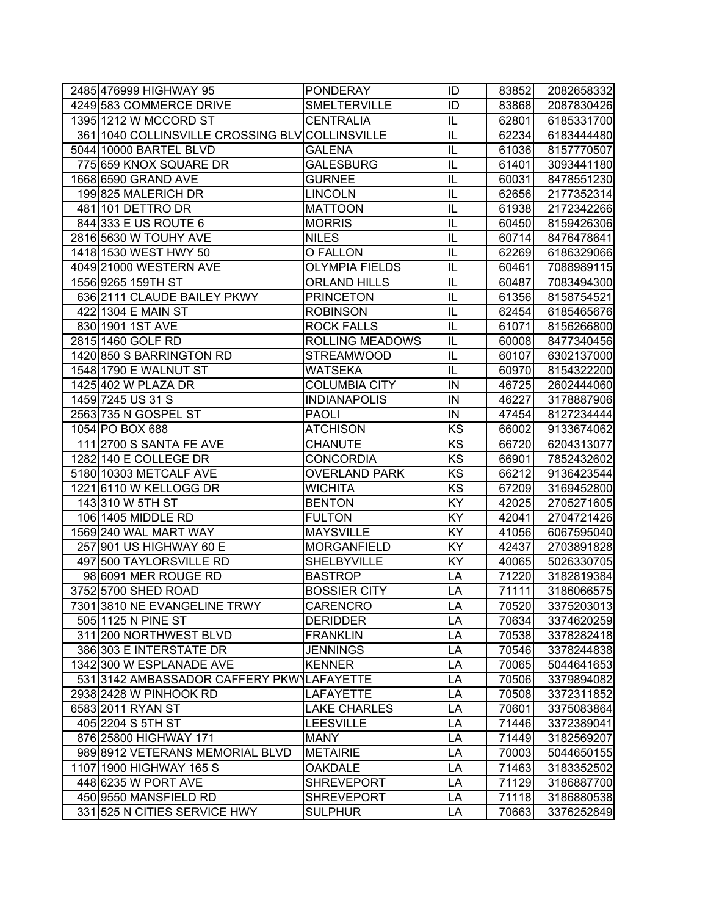| 2485 476999 HIGHWAY 95                          | <b>PONDERAY</b>       | ID                     | 83852 | 2082658332 |
|-------------------------------------------------|-----------------------|------------------------|-------|------------|
| 4249 583 COMMERCE DRIVE                         | <b>SMELTERVILLE</b>   | $\overline{ID}$        | 83868 | 2087830426 |
| 1395 1212 W MCCORD ST                           | <b>CENTRALIA</b>      | IL                     | 62801 | 6185331700 |
| 361 1040 COLLINSVILLE CROSSING BLV COLLINSVILLE |                       | IL                     | 62234 | 6183444480 |
| 5044 10000 BARTEL BLVD                          | <b>GALENA</b>         | IL                     | 61036 | 8157770507 |
| 775 659 KNOX SQUARE DR                          | <b>GALESBURG</b>      | IL                     | 61401 | 3093441180 |
| 1668 6590 GRAND AVE                             | <b>GURNEE</b>         | IL                     | 60031 | 8478551230 |
| 199825 MALERICH DR                              | <b>LINCOLN</b>        | IL                     | 62656 | 2177352314 |
| 481 101 DETTRO DR                               | <b>MATTOON</b>        | IL                     | 61938 | 2172342266 |
| 844 333 E US ROUTE 6                            | <b>MORRIS</b>         | IL                     | 60450 | 8159426306 |
| 2816 5630 W TOUHY AVE                           | <b>NILES</b>          | IL                     | 60714 | 8476478641 |
| 1418 1530 WEST HWY 50                           | O FALLON              | IL                     | 62269 | 6186329066 |
| 4049 21000 WESTERN AVE                          | <b>OLYMPIA FIELDS</b> | IL                     | 60461 | 7088989115 |
| 1556 9265 159TH ST                              | <b>ORLAND HILLS</b>   | IL                     | 60487 | 7083494300 |
| 636 2111 CLAUDE BAILEY PKWY                     | <b>PRINCETON</b>      | L                      | 61356 | 8158754521 |
| 422 1304 E MAIN ST                              | <b>ROBINSON</b>       | L                      | 62454 | 6185465676 |
| 830 1901 1ST AVE                                | <b>ROCK FALLS</b>     | IL                     | 61071 | 8156266800 |
| 2815 1460 GOLF RD                               | ROLLING MEADOWS       | IL                     | 60008 | 8477340456 |
| 1420 850 S BARRINGTON RD                        | <b>STREAMWOOD</b>     | IL                     | 60107 | 6302137000 |
| 1548 1790 E WALNUT ST                           | <b>WATSEKA</b>        | IL                     | 60970 | 8154322200 |
| 1425 402 W PLAZA DR                             | <b>COLUMBIA CITY</b>  | IN                     | 46725 | 2602444060 |
| 1459 7245 US 31 S                               | <b>INDIANAPOLIS</b>   | IN                     | 46227 | 3178887906 |
| 2563 735 N GOSPEL ST                            | <b>PAOLI</b>          | IN                     | 47454 | 8127234444 |
| 1054 PO BOX 688                                 | <b>ATCHISON</b>       | KS                     | 66002 | 9133674062 |
| 111 2700 S SANTA FE AVE                         | <b>CHANUTE</b>        | $\overline{\text{KS}}$ | 66720 | 6204313077 |
| 1282 140 E COLLEGE DR                           | <b>CONCORDIA</b>      | KS                     | 66901 | 7852432602 |
| 5180 10303 METCALF AVE                          | <b>OVERLAND PARK</b>  | $\overline{\text{KS}}$ | 66212 | 9136423544 |
| 1221 6110 W KELLOGG DR                          | <b>WICHITA</b>        | $\overline{\text{KS}}$ | 67209 | 3169452800 |
| 143 310 W 5TH ST                                | <b>BENTON</b>         | KY                     | 42025 | 2705271605 |
| 106 1405 MIDDLE RD                              | <b>FULTON</b>         | KY                     | 42041 | 2704721426 |
| 1569 240 WAL MART WAY                           | <b>MAYSVILLE</b>      | KY                     | 41056 | 6067595040 |
| 257 901 US HIGHWAY 60 E                         | <b>MORGANFIELD</b>    | KY                     | 42437 | 2703891828 |
| 497 500 TAYLORSVILLE RD                         | SHELBYVILLE           | KY                     | 40065 | 5026330705 |
| 98 6091 MER ROUGE RD                            | <b>BASTROP</b>        | LA                     | 71220 | 3182819384 |
| 3752 5700 SHED ROAD                             | <b>BOSSIER CITY</b>   | LA                     | 71111 | 3186066575 |
| 7301 3810 NE EVANGELINE TRWY                    | <b>CARENCRO</b>       | LA                     | 70520 | 3375203013 |
| 505 1125 N PINE ST                              | <b>DERIDDER</b>       | LA                     | 70634 | 3374620259 |
| 311 200 NORTHWEST BLVD                          | <b>FRANKLIN</b>       | LA                     | 70538 | 3378282418 |
| 386 303 E INTERSTATE DR                         | <b>JENNINGS</b>       | LA                     | 70546 | 3378244838 |
| 1342 300 W ESPLANADE AVE                        | <b>KENNER</b>         | LA                     | 70065 | 5044641653 |
| 531 3142 AMBASSADOR CAFFERY PKWYLAFAYETTE       |                       | LA                     | 70506 | 3379894082 |
| 2938 2428 W PINHOOK RD                          | LAFAYETTE             | LA                     | 70508 | 3372311852 |
| 6583 2011 RYAN ST                               | <b>LAKE CHARLES</b>   | LA                     | 70601 | 3375083864 |
| 405 2204 S 5TH ST                               | <b>LEESVILLE</b>      | LA                     | 71446 | 3372389041 |
| 876 25800 HIGHWAY 171                           | <b>MANY</b>           | LA                     | 71449 | 3182569207 |
| 989 8912 VETERANS MEMORIAL BLVD                 | <b>METAIRIE</b>       | LA                     | 70003 | 5044650155 |
| 1107 1900 HIGHWAY 165 S                         | <b>OAKDALE</b>        | LA                     | 71463 | 3183352502 |
| 448 6235 W PORT AVE                             | <b>SHREVEPORT</b>     | LA                     | 71129 | 3186887700 |
| 450 9550 MANSFIELD RD                           | <b>SHREVEPORT</b>     | LA                     | 71118 | 3186880538 |
| 331 525 N CITIES SERVICE HWY                    | <b>SULPHUR</b>        | LA                     | 70663 | 3376252849 |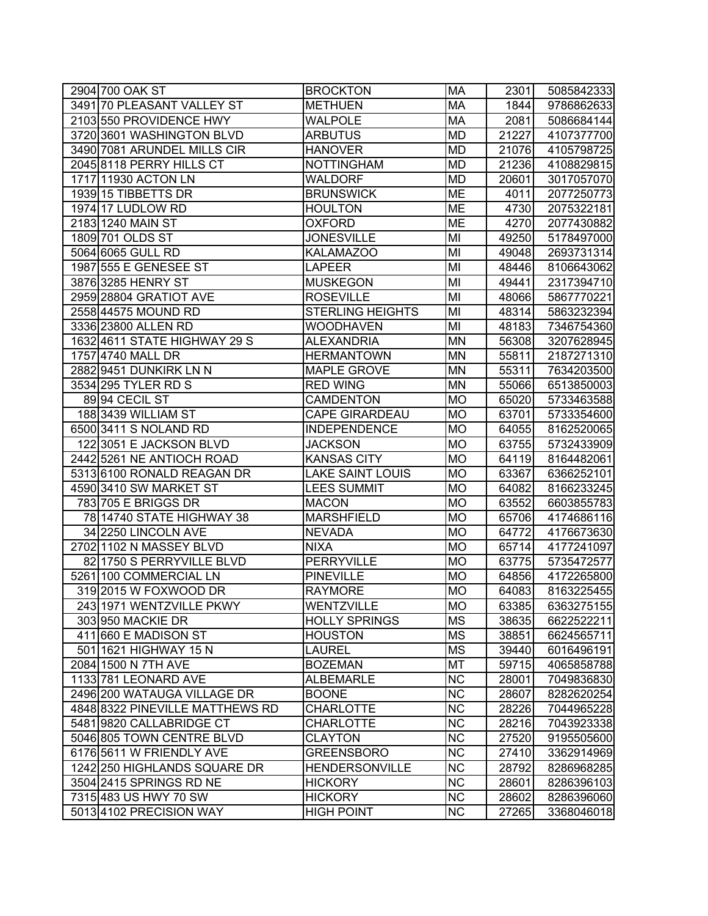| 2904 700 OAK ST                 | <b>BROCKTON</b>         | <b>MA</b>              | 2301  | 5085842333 |
|---------------------------------|-------------------------|------------------------|-------|------------|
| 3491 70 PLEASANT VALLEY ST      | <b>METHUEN</b>          | MA                     | 1844  | 9786862633 |
| 2103 550 PROVIDENCE HWY         | <b>WALPOLE</b>          | MA                     | 2081  | 5086684144 |
| 3720 3601 WASHINGTON BLVD       | <b>ARBUTUS</b>          | <b>MD</b>              | 21227 | 4107377700 |
| 3490 7081 ARUNDEL MILLS CIR     | <b>HANOVER</b>          | <b>MD</b>              | 21076 | 4105798725 |
| 2045 8118 PERRY HILLS CT        | <b>NOTTINGHAM</b>       | MD                     | 21236 | 4108829815 |
| 1717 11930 ACTON LN             | WALDORF                 | <b>MD</b>              | 20601 | 3017057070 |
| 1939 15 TIBBETTS DR             | <b>BRUNSWICK</b>        | <b>ME</b>              | 4011  | 2077250773 |
| 1974 17 LUDLOW RD               | <b>HOULTON</b>          | <b>ME</b>              | 4730  | 2075322181 |
| 2183 1240 MAIN ST               | <b>OXFORD</b>           | ME                     | 4270  | 2077430882 |
| 1809 701 OLDS ST                | <b>JONESVILLE</b>       | MI                     | 49250 | 5178497000 |
| 5064 6065 GULL RD               | <b>KALAMAZOO</b>        | MI                     | 49048 | 2693731314 |
| 1987 555 E GENESEE ST           | <b>LAPEER</b>           | MI                     | 48446 | 8106643062 |
| 3876 3285 HENRY ST              | <b>MUSKEGON</b>         | MI                     | 49441 | 2317394710 |
| 2959 28804 GRATIOT AVE          | <b>ROSEVILLE</b>        | MI                     | 48066 | 5867770221 |
| 2558 44575 MOUND RD             | <b>STERLING HEIGHTS</b> | MI                     | 48314 | 5863232394 |
| 3336 23800 ALLEN RD             | WOODHAVEN               | MI                     | 48183 | 7346754360 |
| 1632 4611 STATE HIGHWAY 29 S    | <b>ALEXANDRIA</b>       | <b>MN</b>              | 56308 | 3207628945 |
| 1757 4740 MALL DR               | <b>HERMANTOWN</b>       | <b>MN</b>              | 55811 | 2187271310 |
| 2882 9451 DUNKIRK LN N          | <b>MAPLE GROVE</b>      | <b>MN</b>              | 55311 | 7634203500 |
| 3534 295 TYLER RD S             | <b>RED WING</b>         | <b>MN</b>              | 55066 | 6513850003 |
| 89 94 CECIL ST                  | <b>CAMDENTON</b>        | <b>MO</b>              | 65020 | 5733463588 |
| 188 3439 WILLIAM ST             | <b>CAPE GIRARDEAU</b>   | <b>MO</b>              | 63701 | 5733354600 |
| 6500 3411 S NOLAND RD           | <b>INDEPENDENCE</b>     | <b>MO</b>              | 64055 | 8162520065 |
| 122 3051 E JACKSON BLVD         | <b>JACKSON</b>          | <b>MO</b>              | 63755 | 5732433909 |
| 2442 5261 NE ANTIOCH ROAD       | <b>KANSAS CITY</b>      | <b>MO</b>              | 64119 | 8164482061 |
| 5313 6100 RONALD REAGAN DR      | <b>LAKE SAINT LOUIS</b> | <b>MO</b>              | 63367 | 6366252101 |
| 4590 3410 SW MARKET ST          | <b>LEES SUMMIT</b>      | <b>MO</b>              | 64082 | 8166233245 |
| 783 705 E BRIGGS DR             | <b>MACON</b>            | <b>MO</b>              | 63552 | 6603855783 |
| 78 14740 STATE HIGHWAY 38       | <b>MARSHFIELD</b>       | <b>MO</b>              | 65706 | 4174686116 |
| 34 2250 LINCOLN AVE             | <b>NEVADA</b>           | <b>MO</b>              | 64772 | 4176673630 |
| 2702 1102 N MASSEY BLVD         | NIXA                    | <b>MO</b>              | 65714 | 4177241097 |
| 82 1750 S PERRYVILLE BLVD       | <b>PERRYVILLE</b>       | <b>MO</b>              | 63775 | 5735472577 |
| 5261 100 COMMERCIAL LN          | <b>PINEVILLE</b>        | <b>MO</b>              | 64856 | 4172265800 |
| 319 2015 W FOXWOOD DR           | <b>RAYMORE</b>          | <b>MO</b>              | 64083 | 8163225455 |
| 243 1971 WENTZVILLE PKWY        | WENTZVILLE              | <b>MO</b>              | 63385 | 6363275155 |
| 303 950 MACKIE DR               | <b>HOLLY SPRINGS</b>    | <b>MS</b>              | 38635 | 6622522211 |
| 411 660 E MADISON ST            | <b>HOUSTON</b>          | <b>MS</b>              | 38851 | 6624565711 |
| 501 1621 HIGHWAY 15 N           | LAUREL                  | MS                     | 39440 | 6016496191 |
| 2084 1500 N 7TH AVE             | <b>BOZEMAN</b>          | MT                     | 59715 | 4065858788 |
| 1133 781 LEONARD AVE            | <b>ALBEMARLE</b>        | $\overline{\text{NC}}$ | 28001 | 7049836830 |
| 2496 200 WATAUGA VILLAGE DR     | <b>BOONE</b>            | $\overline{\text{NC}}$ | 28607 | 8282620254 |
| 4848 8322 PINEVILLE MATTHEWS RD | <b>CHARLOTTE</b>        | NC                     | 28226 | 7044965228 |
| 5481 9820 CALLABRIDGE CT        | <b>CHARLOTTE</b>        | <b>NC</b>              | 28216 | 7043923338 |
| 5046 805 TOWN CENTRE BLVD       | <b>CLAYTON</b>          | NC                     | 27520 | 9195505600 |
| 6176 5611 W FRIENDLY AVE        | <b>GREENSBORO</b>       | <b>NC</b>              | 27410 | 3362914969 |
| 1242 250 HIGHLANDS SQUARE DR    | <b>HENDERSONVILLE</b>   | <b>NC</b>              | 28792 | 8286968285 |
| 3504 2415 SPRINGS RD NE         | <b>HICKORY</b>          | <b>NC</b>              | 28601 | 8286396103 |
| 7315 483 US HWY 70 SW           | <b>HICKORY</b>          | NC                     | 28602 | 8286396060 |
| 5013 4102 PRECISION WAY         | <b>HIGH POINT</b>       | NC                     | 27265 | 3368046018 |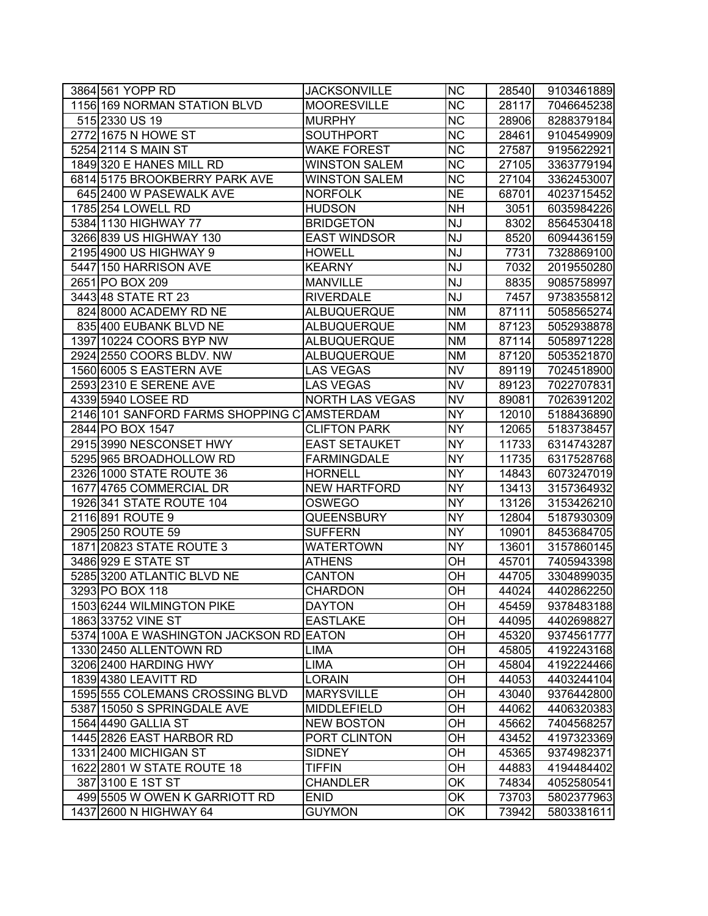| 3864 561 YOPP RD                            | <b>JACKSONVILLE</b>    | <b>NC</b>              | 28540 | 9103461889 |
|---------------------------------------------|------------------------|------------------------|-------|------------|
| 1156 169 NORMAN STATION BLVD                | <b>MOORESVILLE</b>     | $\overline{\text{NC}}$ | 28117 | 7046645238 |
| 515 2330 US 19                              | <b>MURPHY</b>          | $\overline{\text{NC}}$ | 28906 | 8288379184 |
| 2772 1675 N HOWE ST                         | <b>SOUTHPORT</b>       | $\overline{\text{NC}}$ | 28461 | 9104549909 |
| 5254 2114 S MAIN ST                         | <b>WAKE FOREST</b>     | <b>NC</b>              | 27587 | 9195622921 |
| 1849 320 E HANES MILL RD                    | <b>WINSTON SALEM</b>   | <b>NC</b>              | 27105 | 3363779194 |
| 6814 5175 BROOKBERRY PARK AVE               | <b>WINSTON SALEM</b>   | <b>NC</b>              | 27104 | 3362453007 |
| 645 2400 W PASEWALK AVE                     | <b>NORFOLK</b>         | <b>NE</b>              | 68701 | 4023715452 |
| 1785 254 LOWELL RD                          | <b>HUDSON</b>          | <b>NH</b>              | 3051  | 6035984226 |
| 5384 1130 HIGHWAY 77                        | <b>BRIDGETON</b>       | <b>NJ</b>              | 8302  | 8564530418 |
| 3266 839 US HIGHWAY 130                     | <b>EAST WINDSOR</b>    | NJ                     | 8520  | 6094436159 |
| 2195 4900 US HIGHWAY 9                      | <b>HOWELL</b>          | <b>NJ</b>              | 7731  | 7328869100 |
| 5447 150 HARRISON AVE                       | <b>KEARNY</b>          | <b>NJ</b>              | 7032  | 2019550280 |
| 2651 PO BOX 209                             | <b>MANVILLE</b>        | <b>NJ</b>              | 8835  | 9085758997 |
| 3443 48 STATE RT 23                         | <b>RIVERDALE</b>       | <b>NJ</b>              | 7457  | 9738355812 |
| 824 8000 ACADEMY RD NE                      | <b>ALBUQUERQUE</b>     | <b>NM</b>              | 87111 | 5058565274 |
| 835 400 EUBANK BLVD NE                      | <b>ALBUQUERQUE</b>     | <b>NM</b>              | 87123 | 5052938878 |
| 1397 10224 COORS BYP NW                     | ALBUQUERQUE            | <b>NM</b>              | 87114 | 5058971228 |
| 2924 2550 COORS BLDV. NW                    | ALBUQUERQUE            | <b>NM</b>              | 87120 | 5053521870 |
| 1560 6005 S EASTERN AVE                     | <b>LAS VEGAS</b>       | <b>NV</b>              | 89119 | 7024518900 |
| 2593 2310 E SERENE AVE                      | <b>LAS VEGAS</b>       | <b>NV</b>              | 89123 | 7022707831 |
| 4339 5940 LOSEE RD                          | <b>NORTH LAS VEGAS</b> | <b>NV</b>              | 89081 | 7026391202 |
| 2146 101 SANFORD FARMS SHOPPING CLAMSTERDAM |                        | <b>NY</b>              | 12010 | 5188436890 |
| 2844 PO BOX 1547                            | <b>CLIFTON PARK</b>    | <b>NY</b>              | 12065 | 5183738457 |
| 2915 3990 NESCONSET HWY                     | <b>EAST SETAUKET</b>   | <b>NY</b>              | 11733 | 6314743287 |
| 5295 965 BROADHOLLOW RD                     | <b>FARMINGDALE</b>     | <b>NY</b>              | 11735 | 6317528768 |
| 2326 1000 STATE ROUTE 36                    | <b>HORNELL</b>         | <b>NY</b>              | 14843 | 6073247019 |
| 1677 4765 COMMERCIAL DR                     | <b>NEW HARTFORD</b>    | <b>NY</b>              | 13413 | 3157364932 |
| 1926 341 STATE ROUTE 104                    | <b>OSWEGO</b>          | <b>NY</b>              | 13126 | 3153426210 |
| 2116 891 ROUTE 9                            | <b>QUEENSBURY</b>      | <b>NY</b>              | 12804 | 5187930309 |
| 2905 250 ROUTE 59                           | <b>SUFFERN</b>         | <b>NY</b>              | 10901 | 8453684705 |
| 1871 20823 STATE ROUTE 3                    | <b>WATERTOWN</b>       | <b>NY</b>              | 13601 | 3157860145 |
| 3486 929 E STATE ST                         | <b>ATHENS</b>          | OН                     | 45701 | 7405943398 |
| 5285 3200 ATLANTIC BLVD NE                  | <b>CANTON</b>          | OН                     | 44705 | 3304899035 |
| 3293 PO BOX 118                             | <b>CHARDON</b>         | OН                     | 44024 | 4402862250 |
| 1503 6244 WILMINGTON PIKE                   | <b>DAYTON</b>          | ОH                     | 45459 | 9378483188 |
| 1863 33752 VINE ST                          | <b>EASTLAKE</b>        | OH                     | 44095 | 4402698827 |
| 5374 100A E WASHINGTON JACKSON RD EATON     |                        | OH                     | 45320 | 9374561777 |
| 1330 2450 ALLENTOWN RD                      | LIMA                   | ОH                     | 45805 | 4192243168 |
| 3206 2400 HARDING HWY                       | <b>LIMA</b>            | OН                     | 45804 | 4192224466 |
| 1839 4380 LEAVITT RD                        | <b>LORAIN</b>          | ОH                     | 44053 | 4403244104 |
| 1595 555 COLEMANS CROSSING BLVD             | <b>MARYSVILLE</b>      | OН                     | 43040 | 9376442800 |
| 5387 15050 S SPRINGDALE AVE                 | <b>MIDDLEFIELD</b>     | ОH                     | 44062 | 4406320383 |
| 1564 4490 GALLIA ST                         | <b>NEW BOSTON</b>      | ОH                     | 45662 | 7404568257 |
| 1445 2826 EAST HARBOR RD                    | PORT CLINTON           | OН                     | 43452 | 4197323369 |
| 1331 2400 MICHIGAN ST                       | <b>SIDNEY</b>          | OН                     | 45365 | 9374982371 |
| 1622 2801 W STATE ROUTE 18                  | <b>TIFFIN</b>          | ОH                     | 44883 | 4194484402 |
| 387 3100 E 1ST ST                           | <b>CHANDLER</b>        | OK                     | 74834 | 4052580541 |
| 499 5505 W OWEN K GARRIOTT RD               | <b>ENID</b>            | ОK                     | 73703 | 5802377963 |
| 1437 2600 N HIGHWAY 64                      | <b>GUYMON</b>          | ОK                     | 73942 | 5803381611 |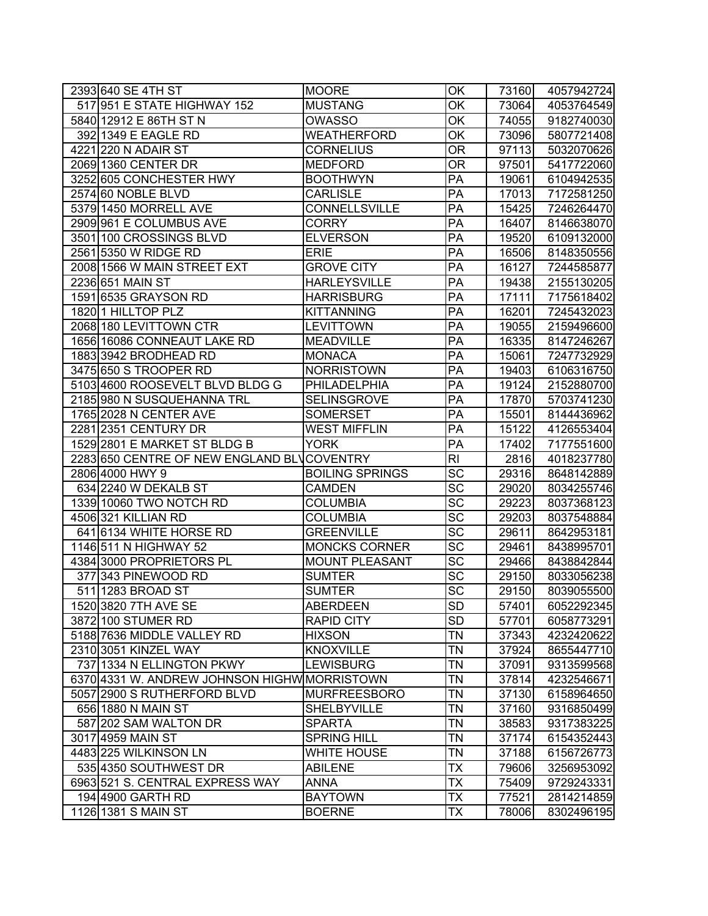| 2393 640 SE 4TH ST                           | <b>MOORE</b>                    | OK                       | 73160          | 4057942724               |
|----------------------------------------------|---------------------------------|--------------------------|----------------|--------------------------|
| 517 951 E STATE HIGHWAY 152                  | <b>MUSTANG</b>                  | ОK                       | 73064          | 4053764549               |
| 5840 12912 E 86TH ST N                       | <b>OWASSO</b>                   | $\overline{\mathsf{OK}}$ | 74055          | 9182740030               |
| 392 1349 E EAGLE RD                          | WEATHERFORD                     | OK                       | 73096          | 5807721408               |
| 4221 220 N ADAIR ST                          | <b>CORNELIUS</b>                | OR                       | 97113          | 5032070626               |
| 2069 1360 CENTER DR                          | <b>MEDFORD</b>                  | 0R                       | 97501          | 5417722060               |
| 3252 605 CONCHESTER HWY                      | <b>BOOTHWYN</b>                 | PA                       | 19061          | 6104942535               |
| 2574 60 NOBLE BLVD                           | <b>CARLISLE</b>                 | PA                       | 17013          | 7172581250               |
| 5379 1450 MORRELL AVE                        | <b>CONNELLSVILLE</b>            | PA                       | 15425          | 7246264470               |
| 2909 961 E COLUMBUS AVE                      | <b>CORRY</b>                    | PA                       | 16407          | 8146638070               |
| 3501 100 CROSSINGS BLVD                      | <b>ELVERSON</b>                 | PA                       | 19520          | 6109132000               |
| 2561 5350 W RIDGE RD                         | <b>ERIE</b>                     | PA                       | 16506          | 8148350556               |
| 2008 1566 W MAIN STREET EXT                  | <b>GROVE CITY</b>               | PA                       | 16127          | 7244585877               |
| 2236 651 MAIN ST                             | <b>HARLEYSVILLE</b>             | PA                       | 19438          | 2155130205               |
| 1591 6535 GRAYSON RD                         | <b>HARRISBURG</b>               | $\overline{PA}$          | 17111          | 7175618402               |
| 1820 1 HILLTOP PLZ                           | <b>KITTANNING</b>               | PA                       | 16201          | 7245432023               |
| 2068 180 LEVITTOWN CTR                       | <b>LEVITTOWN</b>                | PA                       | 19055          | 2159496600               |
| 1656 16086 CONNEAUT LAKE RD                  | <b>MEADVILLE</b>                | PA                       | 16335          | 8147246267               |
| 1883 3942 BRODHEAD RD                        | <b>MONACA</b>                   | PA                       | 15061          | 7247732929               |
| 3475 650 S TROOPER RD                        | <b>NORRISTOWN</b>               | PA                       | 19403          | 6106316750               |
| 5103 4600 ROOSEVELT BLVD BLDG G              | PHILADELPHIA                    | PA                       | 19124          | 2152880700               |
| 2185 980 N SUSQUEHANNA TRL                   | <b>SELINSGROVE</b>              | PA                       | 17870          | 5703741230               |
| 1765 2028 N CENTER AVE                       | <b>SOMERSET</b>                 | PA                       | 15501          | 8144436962               |
| 2281 2351 CENTURY DR                         | <b>WEST MIFFLIN</b>             | PA                       | 15122          | 4126553404               |
| 1529 2801 E MARKET ST BLDG B                 | <b>YORK</b>                     | PA                       | 17402          | 7177551600               |
| 2283 650 CENTRE OF NEW ENGLAND BLVCOVENTRY   |                                 | $\overline{R}$           | 2816           | 4018237780               |
| 2806 4000 HWY 9                              | <b>BOILING SPRINGS</b>          | $\overline{SC}$          | 29316          | 8648142889               |
| 634 2240 W DEKALB ST                         | CAMDEN                          | $\overline{SC}$          | 29020          | 8034255746               |
|                                              |                                 | $\overline{\text{sc}}$   | 29223          | 8037368123               |
| 1339 10060 TWO NOTCH RD                      | <b>COLUMBIA</b>                 |                          |                |                          |
| 4506 321 KILLIAN RD                          | <b>COLUMBIA</b>                 | SC                       | 29203          | 8037548884               |
| 641 6134 WHITE HORSE RD                      | <b>GREENVILLE</b>               | SC                       | 29611          | 8642953181               |
| 1146 511 N HIGHWAY 52                        | <b>MONCKS CORNER</b>            | $\overline{SC}$          | 29461          | 8438995701               |
| 4384 3000 PROPRIETORS PL                     | <b>MOUNT PLEASANT</b>           | $\overline{SC}$          | 29466          | 8438842844               |
| 377 343 PINEWOOD RD                          | <b>SUMTER</b>                   | $\overline{SC}$          | 29150          | 8033056238               |
| 511 1283 BROAD ST                            | <b>SUMTER</b>                   | $\overline{\text{sc}}$   | 29150          | 8039055500               |
| 1520 3820 7TH AVE SE                         | <b>ABERDEEN</b>                 | SD                       | 57401          | 6052292345               |
| 3872 100 STUMER RD                           | <b>RAPID CITY</b>               | <b>SD</b>                | 57701          | 6058773291               |
| 5188 7636 MIDDLE VALLEY RD                   | <b>HIXSON</b>                   | <b>TN</b>                | 37343          | 4232420622               |
| 2310 3051 KINZEL WAY                         | <b>KNOXVILLE</b>                | <b>TN</b>                | 37924          | 8655447710               |
| 737 1334 N ELLINGTON PKWY                    | <b>LEWISBURG</b>                | <b>TN</b>                | 37091          | 9313599568               |
| 6370 4331 W. ANDREW JOHNSON HIGHW MORRISTOWN |                                 | <b>TN</b>                | 37814          | 4232546671               |
| 5057 2900 S RUTHERFORD BLVD                  | <b>MURFREESBORO</b>             | <b>TN</b>                | 37130          | 6158964650               |
| 656 1880 N MAIN ST                           | SHELBYVILLE                     | <b>TN</b>                | 37160          | 9316850499               |
| 587 202 SAM WALTON DR                        | <b>SPARTA</b>                   | ΤN                       | 38583          | 9317383225               |
| 3017 4959 MAIN ST                            | <b>SPRING HILL</b>              | ΤN                       | 37174          | 6154352443               |
| 4483 225 WILKINSON LN                        | <b>WHITE HOUSE</b>              | <b>TN</b>                | 37188          | 6156726773               |
| 535 4350 SOUTHWEST DR                        | <b>ABILENE</b>                  | <b>TX</b>                | 79606          | 3256953092               |
| 6963 521 S. CENTRAL EXPRESS WAY              | <b>ANNA</b>                     | <b>TX</b>                | 75409          | 9729243331               |
| 194 4900 GARTH RD<br>1126 1381 S MAIN ST     | <b>BAYTOWN</b><br><b>BOERNE</b> | <b>TX</b><br><b>TX</b>   | 77521<br>78006 | 2814214859<br>8302496195 |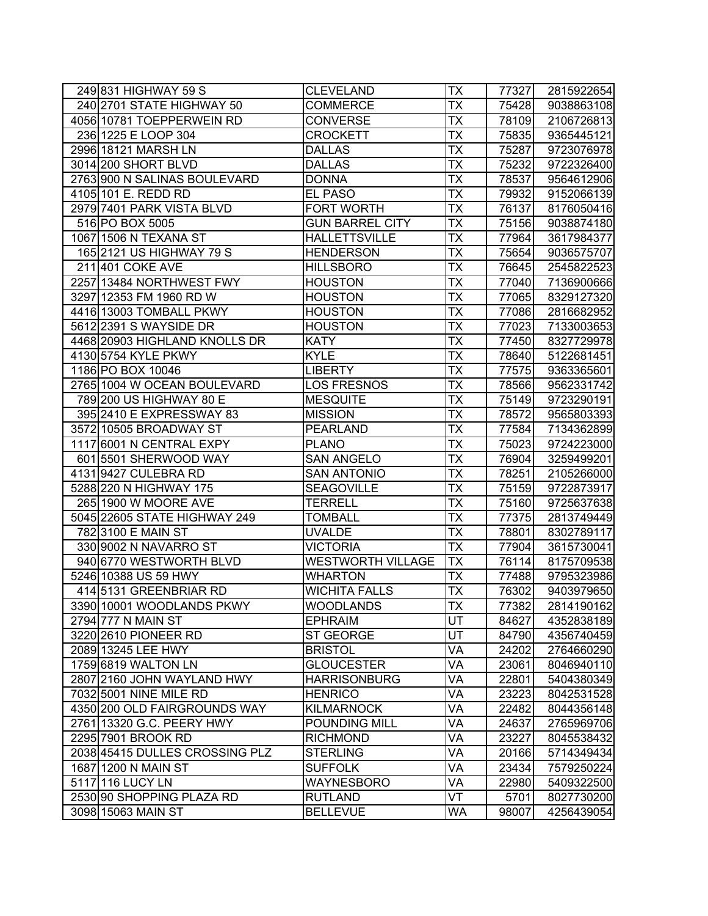| 249 831 HIGHWAY 59 S           | <b>CLEVELAND</b>         | <b>TX</b>                | 77327 | 2815922654 |
|--------------------------------|--------------------------|--------------------------|-------|------------|
| 240 2701 STATE HIGHWAY 50      | <b>COMMERCE</b>          | TX                       | 75428 | 9038863108 |
| 4056 10781 TOEPPERWEIN RD      | <b>CONVERSE</b>          | TX                       | 78109 | 2106726813 |
| 236 1225 E LOOP 304            | <b>CROCKETT</b>          | $\overline{\mathsf{TX}}$ | 75835 | 9365445121 |
| 2996 18121 MARSH LN            | <b>DALLAS</b>            | TX                       | 75287 | 9723076978 |
| 3014 200 SHORT BLVD            | <b>DALLAS</b>            | TX                       | 75232 | 9722326400 |
| 2763 900 N SALINAS BOULEVARD   | <b>DONNA</b>             | ТX                       | 78537 | 9564612906 |
| 4105 101 E. REDD RD            | EL PASO                  | ТX                       | 79932 | 9152066139 |
| 2979 7401 PARK VISTA BLVD      | <b>FORT WORTH</b>        | TX                       | 76137 | 8176050416 |
| 516 PO BOX 5005                | <b>GUN BARREL CITY</b>   | TX                       | 75156 | 9038874180 |
| 1067 1506 N TEXANA ST          | <b>HALLETTSVILLE</b>     | ТX                       | 77964 | 3617984377 |
| 165 2121 US HIGHWAY 79 S       | <b>HENDERSON</b>         | ТX                       | 75654 | 9036575707 |
| 211 401 COKE AVE               | <b>HILLSBORO</b>         | ТX                       | 76645 | 2545822523 |
| 2257 13484 NORTHWEST FWY       | <b>HOUSTON</b>           | TX                       | 77040 | 7136900666 |
| 3297 12353 FM 1960 RD W        | <b>HOUSTON</b>           | TX                       | 77065 | 8329127320 |
| 4416 13003 TOMBALL PKWY        | <b>HOUSTON</b>           | ТX                       | 77086 | 2816682952 |
| 5612 2391 S WAYSIDE DR         | <b>HOUSTON</b>           | ТX                       | 77023 | 7133003653 |
| 4468 20903 HIGHLAND KNOLLS DR  | <b>KATY</b>              | ТX                       | 77450 | 8327729978 |
| 4130 5754 KYLE PKWY            | <b>KYLE</b>              | ТX                       | 78640 | 5122681451 |
| 1186 PO BOX 10046              | <b>LIBERTY</b>           | ТX                       | 77575 | 9363365601 |
| 2765 1004 W OCEAN BOULEVARD    | <b>LOS FRESNOS</b>       | ТX                       | 78566 | 9562331742 |
| 789 200 US HIGHWAY 80 E        | <b>MESQUITE</b>          | <b>TX</b>                | 75149 | 9723290191 |
| 395 2410 E EXPRESSWAY 83       | <b>MISSION</b>           | TX                       | 78572 | 9565803393 |
| 3572 10505 BROADWAY ST         | <b>PEARLAND</b>          | ТX                       | 77584 | 7134362899 |
| 1117 6001 N CENTRAL EXPY       | <b>PLANO</b>             | ТX                       | 75023 | 9724223000 |
| 601 5501 SHERWOOD WAY          | <b>SAN ANGELO</b>        | ТX                       | 76904 | 3259499201 |
| 4131 9427 CULEBRA RD           | <b>SAN ANTONIO</b>       | ТX                       | 78251 | 2105266000 |
| 5288 220 N HIGHWAY 175         | <b>SEAGOVILLE</b>        | ТX                       | 75159 | 9722873917 |
| 265 1900 W MOORE AVE           | <b>TERRELL</b>           | ТX                       | 75160 | 9725637638 |
| 5045 22605 STATE HIGHWAY 249   | <b>TOMBALL</b>           | TX                       | 77375 | 2813749449 |
| 782 3100 E MAIN ST             | <b>UVALDE</b>            | TX                       | 78801 | 8302789117 |
| 330 9002 N NAVARRO ST          | <b>VICTORIA</b>          | TX                       | 77904 | 3615730041 |
| 940 6770 WESTWORTH BLVD        | <b>WESTWORTH VILLAGE</b> | <b>TX</b>                | 76114 | 8175709538 |
| 5246 10388 US 59 HWY           | <b>WHARTON</b>           | <b>TX</b>                | 77488 | 9795323986 |
| 414 5131 GREENBRIAR RD         | <b>WICHITA FALLS</b>     | <b>TX</b>                | 76302 | 9403979650 |
| 3390 10001 WOODLANDS PKWY      | <b>WOODLANDS</b>         | $\overline{\mathsf{TX}}$ | 77382 | 2814190162 |
| 2794 777 N MAIN ST             | <b>EPHRAIM</b>           | UT                       | 84627 | 4352838189 |
| 3220 2610 PIONEER RD           | <b>ST GEORGE</b>         | UT                       | 84790 | 4356740459 |
| 2089 13245 LEE HWY             | <b>BRISTOL</b>           | VA                       | 24202 | 2764660290 |
| 1759 6819 WALTON LN            | <b>GLOUCESTER</b>        | VA                       | 23061 | 8046940110 |
| 2807 2160 JOHN WAYLAND HWY     | <b>HARRISONBURG</b>      | VA                       | 22801 | 5404380349 |
| 7032 5001 NINE MILE RD         | <b>HENRICO</b>           | VA                       | 23223 | 8042531528 |
| 4350 200 OLD FAIRGROUNDS WAY   | <b>KILMARNOCK</b>        | VA                       | 22482 | 8044356148 |
| 2761 13320 G.C. PEERY HWY      | POUNDING MILL            | VA                       | 24637 | 2765969706 |
| 2295 7901 BROOK RD             | <b>RICHMOND</b>          | VA                       | 23227 | 8045538432 |
| 2038 45415 DULLES CROSSING PLZ | <b>STERLING</b>          | VA                       | 20166 | 5714349434 |
| 1687 1200 N MAIN ST            | <b>SUFFOLK</b>           | VA                       | 23434 | 7579250224 |
| 5117 116 LUCY LN               | WAYNESBORO               | VA                       | 22980 | 5409322500 |
| 2530 90 SHOPPING PLAZA RD      | <b>RUTLAND</b>           | VT                       | 5701  | 8027730200 |
| 3098 15063 MAIN ST             | <b>BELLEVUE</b>          | WA                       | 98007 | 4256439054 |